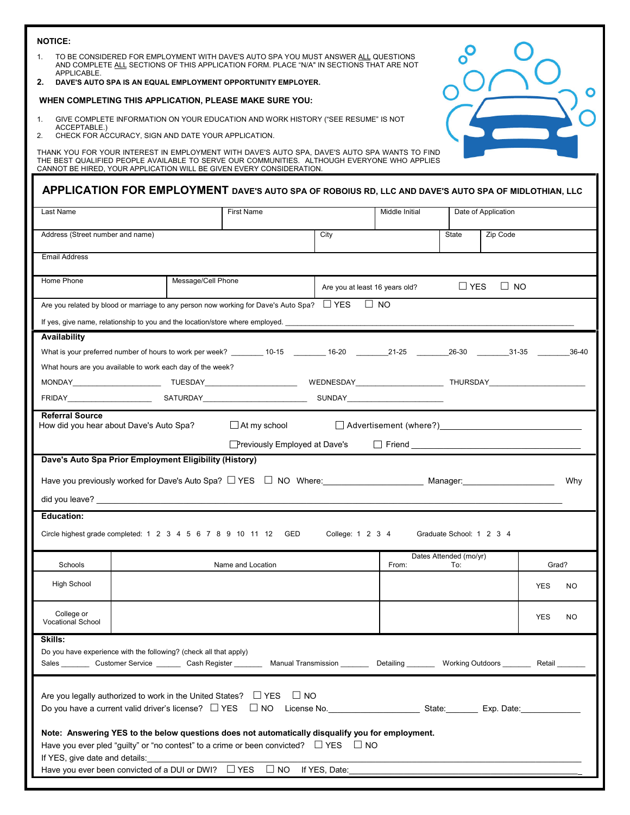| <b>NOTICE:</b>                                                                                                                                                                                                                                                                 |                    |                                      |                                |                |                               |                                                                                                                 |       |
|--------------------------------------------------------------------------------------------------------------------------------------------------------------------------------------------------------------------------------------------------------------------------------|--------------------|--------------------------------------|--------------------------------|----------------|-------------------------------|-----------------------------------------------------------------------------------------------------------------|-------|
| TO BE CONSIDERED FOR EMPLOYMENT WITH DAVE'S AUTO SPA YOU MUST ANSWER ALL QUESTIONS<br>$1_{-}$<br>AND COMPLETE ALL SECTIONS OF THIS APPLICATION FORM. PLACE "N/A" IN SECTIONS THAT ARE NOT<br>APPLICABLE.<br>DAVE'S AUTO SPA IS AN EQUAL EMPLOYMENT OPPORTUNITY EMPLOYER.<br>2. |                    |                                      |                                |                |                               |                                                                                                                 |       |
| WHEN COMPLETING THIS APPLICATION, PLEASE MAKE SURE YOU:                                                                                                                                                                                                                        |                    |                                      |                                |                |                               |                                                                                                                 | O     |
| GIVE COMPLETE INFORMATION ON YOUR EDUCATION AND WORK HISTORY ("SEE RESUME" IS NOT<br>1.<br>ACCEPTABLE.)<br>2.<br>CHECK FOR ACCURACY, SIGN AND DATE YOUR APPLICATION.                                                                                                           |                    |                                      |                                |                |                               |                                                                                                                 |       |
| THANK YOU FOR YOUR INTEREST IN EMPLOYMENT WITH DAVE'S AUTO SPA, DAVE'S AUTO SPA WANTS TO FIND<br>THE BEST QUALIFIED PEOPLE AVAILABLE TO SERVE OUR COMMUNITIES. ALTHOUGH EVERYONE WHO APPLIES<br>CANNOT BE HIRED, YOUR APPLICATION WILL BE GIVEN EVERY CONSIDERATION.           |                    |                                      |                                |                |                               |                                                                                                                 |       |
| APPLICATION FOR EMPLOYMENT DAVE'S AUTO SPA OF ROBOIUS RD, LLC AND DAVE'S AUTO SPA OF MIDLOTHIAN, LLC                                                                                                                                                                           |                    |                                      |                                |                |                               |                                                                                                                 |       |
| Last Name                                                                                                                                                                                                                                                                      |                    | <b>First Name</b>                    |                                | Middle Initial | Date of Application           |                                                                                                                 |       |
| Address (Street number and name)                                                                                                                                                                                                                                               |                    |                                      | City                           |                | State                         | Zip Code                                                                                                        |       |
| <b>Email Address</b>                                                                                                                                                                                                                                                           |                    |                                      |                                |                |                               |                                                                                                                 |       |
|                                                                                                                                                                                                                                                                                |                    |                                      |                                |                |                               |                                                                                                                 |       |
| Home Phone                                                                                                                                                                                                                                                                     | Message/Cell Phone |                                      | Are you at least 16 years old? |                | $\Box$ YES                    | $\Box$ NO                                                                                                       |       |
| Are you related by blood or marriage to any person now working for Dave's Auto Spa? $\square$ YES $\square$ NO                                                                                                                                                                 |                    |                                      |                                |                |                               |                                                                                                                 |       |
| If yes, give name, relationship to you and the location/store where employed.                                                                                                                                                                                                  |                    |                                      |                                |                |                               |                                                                                                                 |       |
| Availability                                                                                                                                                                                                                                                                   |                    |                                      |                                |                |                               |                                                                                                                 |       |
| What is your preferred number of hours to work per week? 10-15 16-20 21-25 26-30 31-35                                                                                                                                                                                         |                    |                                      |                                |                |                               |                                                                                                                 | 36-40 |
| What hours are you available to work each day of the week?                                                                                                                                                                                                                     |                    |                                      |                                |                |                               |                                                                                                                 |       |
|                                                                                                                                                                                                                                                                                |                    |                                      |                                |                |                               |                                                                                                                 |       |
|                                                                                                                                                                                                                                                                                |                    |                                      |                                |                |                               |                                                                                                                 |       |
| <b>Referral Source</b><br>How did you hear about Dave's Auto Spa?                                                                                                                                                                                                              |                    | $\Box$ At my school                  |                                |                |                               | Advertisement (where?) Manual Manual Manual Manual Manual Manual Manual Manual Manual Manual Manual Manual Manu |       |
|                                                                                                                                                                                                                                                                                |                    | <b>Previously Employed at Dave's</b> |                                |                |                               |                                                                                                                 |       |
| Dave's Auto Spa Prior Employment Eligibility (History)                                                                                                                                                                                                                         |                    |                                      |                                |                |                               |                                                                                                                 |       |
|                                                                                                                                                                                                                                                                                |                    |                                      |                                |                |                               |                                                                                                                 | Why   |
| did you leave? _                                                                                                                                                                                                                                                               |                    |                                      |                                |                |                               |                                                                                                                 |       |
| <b>Education:</b>                                                                                                                                                                                                                                                              |                    |                                      |                                |                |                               |                                                                                                                 |       |
| Circle highest grade completed: 1 2 3 4 5 6 7 8 9 10 11 12 GED                                                                                                                                                                                                                 |                    |                                      | College: 1 2 3 4               |                | Graduate School: 1 2 3 4      |                                                                                                                 |       |
| Schools                                                                                                                                                                                                                                                                        |                    | Name and Location                    |                                | From:          | Dates Attended (mo/yr)<br>To: | Grad?                                                                                                           |       |
| <b>High School</b>                                                                                                                                                                                                                                                             |                    |                                      |                                |                |                               | <b>YES</b>                                                                                                      | NO.   |
| College or<br><b>Vocational School</b>                                                                                                                                                                                                                                         |                    |                                      |                                |                |                               | <b>YES</b>                                                                                                      | NO.   |
| Skills:                                                                                                                                                                                                                                                                        |                    |                                      |                                |                |                               |                                                                                                                 |       |
| Do you have experience with the following? (check all that apply)<br>Sales ________ Customer Service ________ Cash Register _________ Manual Transmission ________ Detailing _______ Working Outdoors ________ Retail _______                                                  |                    |                                      |                                |                |                               |                                                                                                                 |       |
| Are you legally authorized to work in the United States? $\square$ YES                                                                                                                                                                                                         |                    | $\Box$ NO                            |                                |                |                               |                                                                                                                 |       |
| Note: Answering YES to the below questions does not automatically disqualify you for employment.<br>Have you ever pled "guilty" or "no contest" to a crime or been convicted? $\square$ YES $\square$ NO<br>If YES, give date and details:                                     |                    |                                      |                                |                |                               |                                                                                                                 |       |
| Have you ever been convicted of a DUI or DWI? □ YES □ NO If YES, Date:                                                                                                                                                                                                         |                    |                                      |                                |                |                               |                                                                                                                 |       |